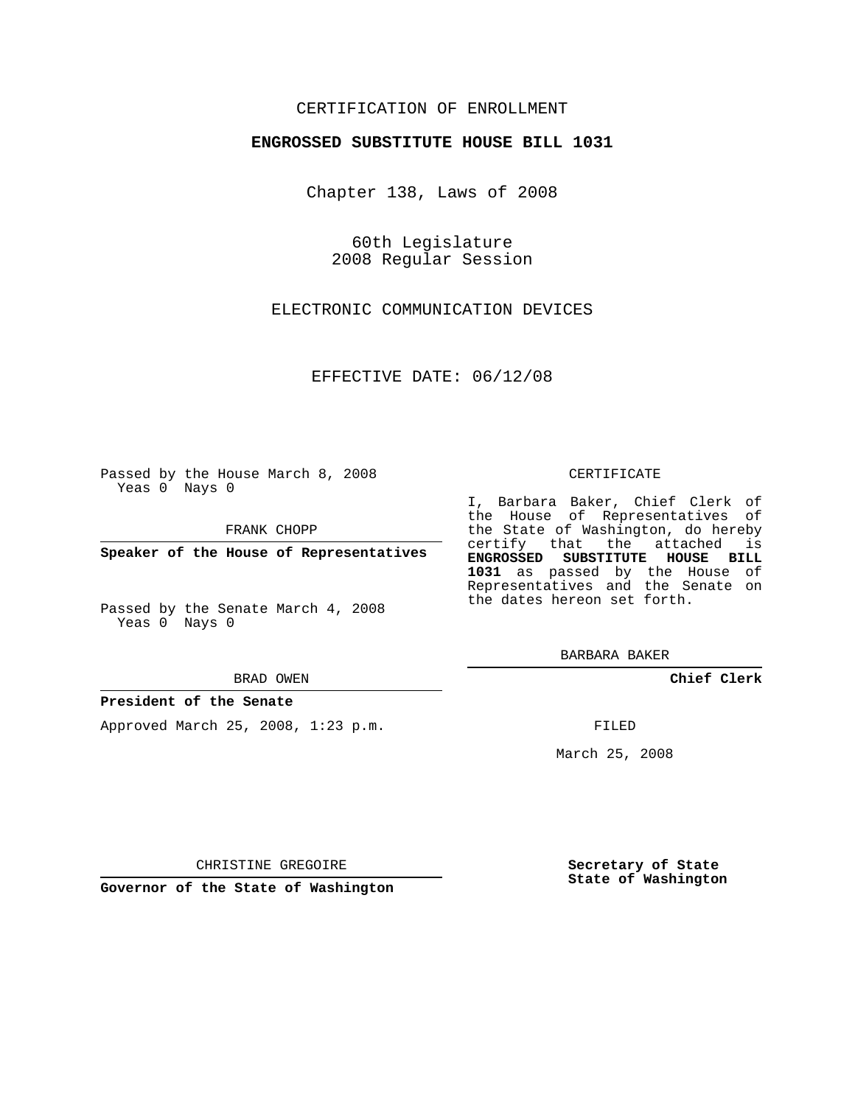# CERTIFICATION OF ENROLLMENT

### **ENGROSSED SUBSTITUTE HOUSE BILL 1031**

Chapter 138, Laws of 2008

60th Legislature 2008 Regular Session

ELECTRONIC COMMUNICATION DEVICES

EFFECTIVE DATE: 06/12/08

Passed by the House March 8, 2008 Yeas 0 Nays 0

FRANK CHOPP

**Speaker of the House of Representatives**

Passed by the Senate March 4, 2008 Yeas 0 Nays 0

#### BRAD OWEN

### **President of the Senate**

Approved March 25, 2008, 1:23 p.m.

#### CERTIFICATE

I, Barbara Baker, Chief Clerk of the House of Representatives of the State of Washington, do hereby certify that the attached is **ENGROSSED SUBSTITUTE HOUSE BILL 1031** as passed by the House of Representatives and the Senate on the dates hereon set forth.

**Chief Clerk**

FILED

March 25, 2008

CHRISTINE GREGOIRE

**Governor of the State of Washington**

**Secretary of State State of Washington**

BARBARA BAKER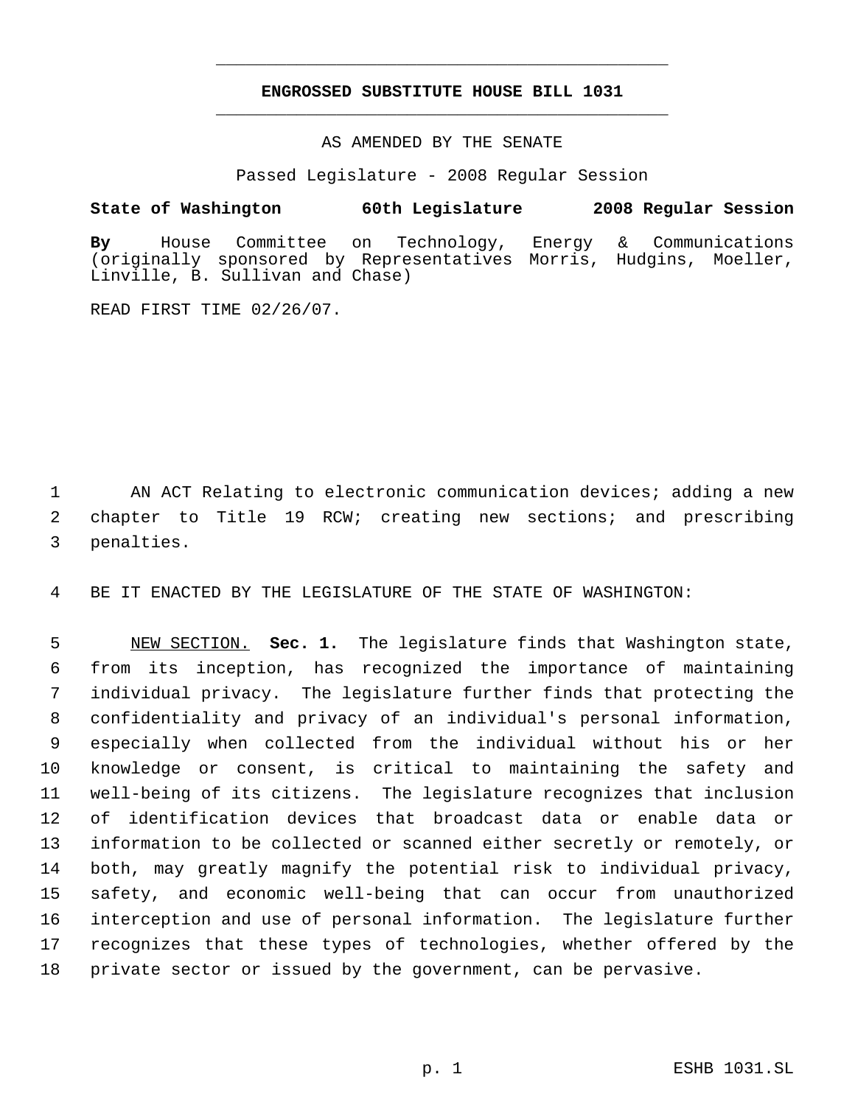# **ENGROSSED SUBSTITUTE HOUSE BILL 1031** \_\_\_\_\_\_\_\_\_\_\_\_\_\_\_\_\_\_\_\_\_\_\_\_\_\_\_\_\_\_\_\_\_\_\_\_\_\_\_\_\_\_\_\_\_

\_\_\_\_\_\_\_\_\_\_\_\_\_\_\_\_\_\_\_\_\_\_\_\_\_\_\_\_\_\_\_\_\_\_\_\_\_\_\_\_\_\_\_\_\_

## AS AMENDED BY THE SENATE

Passed Legislature - 2008 Regular Session

## **State of Washington 60th Legislature 2008 Regular Session**

**By** House Committee on Technology, Energy & Communications (originally sponsored by Representatives Morris, Hudgins, Moeller, Linville, B. Sullivan and Chase)

READ FIRST TIME 02/26/07.

1 AN ACT Relating to electronic communication devices; adding a new 2 chapter to Title 19 RCW; creating new sections; and prescribing 3 penalties.

4 BE IT ENACTED BY THE LEGISLATURE OF THE STATE OF WASHINGTON:

 NEW SECTION. **Sec. 1.** The legislature finds that Washington state, from its inception, has recognized the importance of maintaining individual privacy. The legislature further finds that protecting the confidentiality and privacy of an individual's personal information, especially when collected from the individual without his or her knowledge or consent, is critical to maintaining the safety and well-being of its citizens. The legislature recognizes that inclusion of identification devices that broadcast data or enable data or information to be collected or scanned either secretly or remotely, or both, may greatly magnify the potential risk to individual privacy, safety, and economic well-being that can occur from unauthorized interception and use of personal information. The legislature further recognizes that these types of technologies, whether offered by the private sector or issued by the government, can be pervasive.